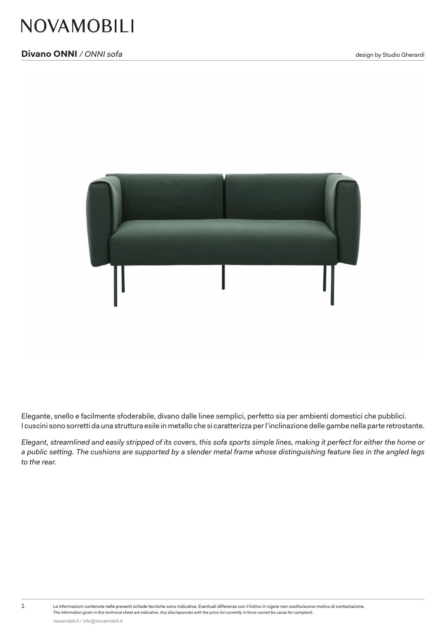

Elegante, snello e facilmente sfoderabile, divano dalle linee semplici, perfetto sia per ambienti domestici che pubblici. I cuscini sono sorretti da una struttura esile in metallo che si caratterizza per l'inclinazione delle gambe nella parte retrostante.

*Elegant, streamlined and easily stripped of its covers, this sofa sports simple lines, making it perfect for either the home or a public setting. The cushions are supported by a slender metal frame whose distinguishing feature lies in the angled legs to the rear.*

1 Le informazioni contenute nelle presenti schede tecniche sono indicative. Eventuali differenze con il listino in vigore non costituiscono motivo di contestazione. *The information given in this technical sheet are indicative. Any discrepancies with the price list currently in force cannot be cause for complaint.*

novamobili.it / info@novamobili.it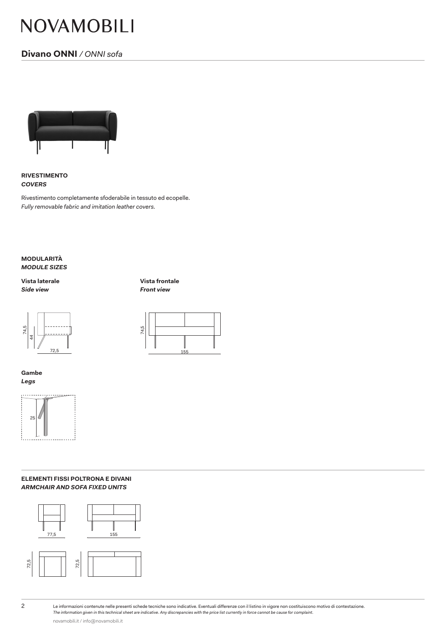# NOVAMOBILI

# **Divano ONNI** */ ONNI sofa*



**RIVESTIMENTO** *COVERS*

Rivestimento completamente sfoderabile in tessuto ed ecopelle. *Fully removable fabric and imitation leather covers.*

**MODULARITÀ** *MODULE SIZES*

**Vista laterale Vista frontale** *Side view Front view*



**Gambe** *Legs*



#### **ELEMENTI FISSI POLTRONA E DIVANI** *ARMCHAIR AND SOFA FIXED UNITS*



2 Le informazioni contenute nelle presenti schede tecniche sono indicative. Eventuali differenze con il listino in vigore non costituiscono motivo di contestazione. *The information given in this technical sheet are indicative. Any discrepancies with the price list currently in force cannot be cause for complaint.*

novamobili.it / info@novamobili.it



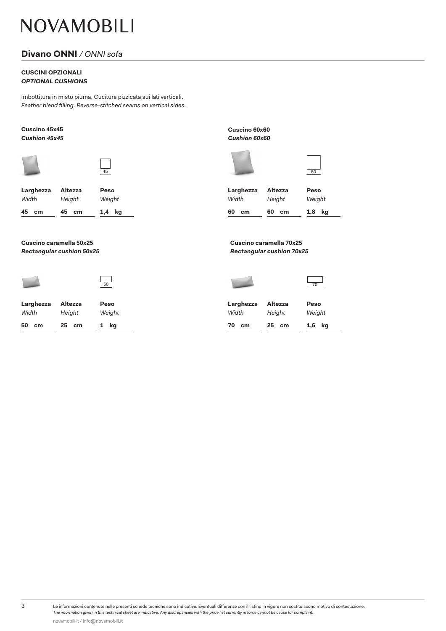# NOVAMOBILI

### **Divano ONNI** */ ONNI sofa*

#### **CUSCINI OPZIONALI** *OPTIONAL CUSHIONS*

Imbottitura in misto piuma. Cucitura pizzicata sui lati verticali. Feather blend filling. Reverse-stitched seams on vertical sides.



|                    | 50                |                |                    |                   | 70         |  |
|--------------------|-------------------|----------------|--------------------|-------------------|------------|--|
| Larghezza<br>Width | Altezza<br>Height | Peso<br>Weight | Larghezza<br>Width | Altezza<br>Height | Pes<br>Wei |  |
| 50<br>cm           | 25 cm             | kg             | 70<br>cm           | 25<br>cm          | 1,6        |  |

**Cuscino 45x45 Cuscino 60x60** *Cushion 45x45 Cushion 60x60*





**kg kg 60 cm 60 cm Larghezza Peso Altezza** *Width Weight Height*

*Rectangular cushion 50x25 Rectangular cushion 70x25*



| Peso   | Larghezza |       | Peso      |  |
|--------|-----------|-------|-----------|--|
| Weight | Width     |       | Weight    |  |
| 1 kg   | 70<br>cm  | 25 cm | kg<br>1,6 |  |

novamobili.it / info@novamobili.it